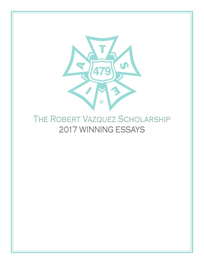

## THE ROBERT VAZQUEZ SCHOLARSHIP 2017 WINNING ESSAYS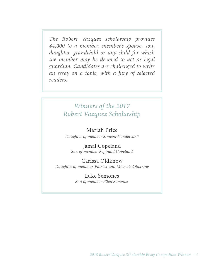*The Robert Vazquez scholarship provides \$4,000 to a member, member's spouse, son, daughter, grandchild or any child for which the member may be deemed to act as legal guardian. Candidates are challenged to write an essay on a topic, with a jury of selected readers.*

### *Winners of the 2017 Robert Vazquez Scholarship*

### Mariah Price

*Daughter of member Simeon Henderson\**

Jamal Copeland *Son of member Reginald Copeland*

Carissa Oldknow *Daughter of members Patrick and Michelle Oldknow*

> Luke Semones *Son of member Ellen Semones*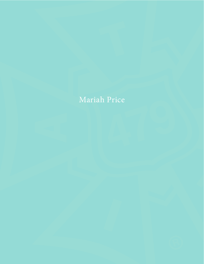### Mariah Price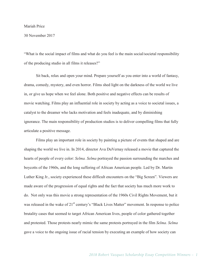#### Mariah Price

#### 30 November 2017

"What is the social impact of films and what do you feel is the main social/societal responsibility of the producing studio in all films it releases?"

Sit back, relax and open your mind. Prepare yourself as you enter into a world of fantasy, drama, comedy, mystery, and even horror. Films shed light on the darkness of the world we live in, or give us hope when we feel alone. Both positive and negative effects can be results of movie watching. Films play an influential role in society by acting as a voice to societal issues, a catalyst to the dreamer who lacks motivation and feels inadequate, and by diminishing ignorance. The main responsibility of production studios is to deliver compelling films that fully articulate a positive message.

Films play an important role in society by painting a picture of events that shaped and are shaping the world we live in. In 2014, director Ava DuVernay released a movie that captured the hearts of people of every color: *Selma. Selma* portrayed the passion surrounding the marches and boycotts of the 1960s, and the long suffering of African American people. Led by Dr. Martin Luther King Jr., society experienced these difficult encounters on the "Big Screen". Viewers are made aware of the progression of equal rights and the fact that society has much more work to do. Not only was this movie a strong representation of the 1960s Civil Rights Movement, but it was released in the wake of 21<sup>st</sup> century's "Black Lives Matter" movement. In response to police brutality cases that seemed to target African American lives, people of color gathered together and protested. Those protests nearly mimic the same protests portrayed in the film *Selma. Selma* gave a voice to the ongoing issue of racial tension by executing an example of how society can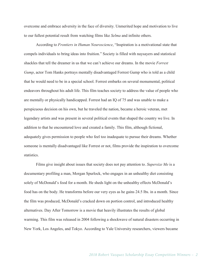overcome and embrace adversity in the face of diversity. Unmerited hope and motivation to live to our fullest potential result from watching films like *Selma* and infinite others.

According to *Frontiers in Human Neuroscience*, "Inspiration is a motivational state that compels individuals to bring ideas into fruition." Society is filled with naysayers and statistical shackles that tell the dreamer in us that we can't achieve our dreams. In the movie *Forrest Gump*, actor Tom Hanks portrays mentally disadvantaged Forrest Gump who is told as a child that he would need to be in a special school. Forrest embarks on several monumental, political endeavors throughout his adult life. This film teaches society to address the value of people who are mentally or physically handicapped. Forrest had an IQ of 75 and was unable to make a perspicuous decision on his own, but he traveled the nation, became a heroic veteran, met legendary artists and was present in several political events that shaped the country we live. In addition to that he encountered love and created a family. This film, although fictional, adequately gives permission to people who feel too inadequate to pursue their dreams. Whether someone is mentally disadvantaged like Forrest or not, films provide the inspiration to overcome statistics.

Films give insight about issues that society does not pay attention to. *Supersize Me* is a documentary profiling a man, Morgan Spurlock, who engages in an unhealthy diet consisting solely of McDonald's food for a month. He sheds light on the unhealthy effects McDonald's food has on the body. He transforms before our very eyes as he gains 24.5 lbs. in a month. Since the film was produced, McDonald's cracked down on portion control, and introduced healthy alternatives. Day After Tomorrow is a movie that heavily illustrates the results of global warming. This film was released in 2004 following a shockwave of natural disasters occurring in New York, Los Angeles, and Tokyo. According to Yale University researchers, viewers became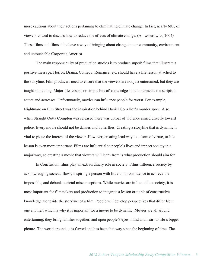more cautious about their actions pertaining to eliminating climate change. In fact, nearly 68% of viewers vowed to discuss how to reduce the effects of climate change. (A. Leiserowitz, 2004) These films and films alike have a way of bringing about change in our community, environment and untouchable Corporate America.

The main responsibility of production studios is to produce superb films that illustrate a positive message. Horror, Drama, Comedy, Romance, etc. should have a life lesson attached to the storyline. Film producers need to ensure that the viewers are not just entertained, but they are taught something. Major life lessons or simple bits of knowledge should permeate the scripts of actors and actresses. Unfortunately, movies can influence people for worst. For example, Nightmare on Elm Street was the inspiration behind Daniel Gonzalez's murder spree. Also, when Straight Outta Compton was released there was uproar of violence aimed directly toward police. Every movie should not be daisies and butterflies. Creating a storyline that is dynamic is vital to pique the interest of the viewer. However, creating lead way to a form of virtue, or life lesson is even more important. Films are influential to people's lives and impact society in a major way, so creating a movie that viewers will learn from is what production should aim for.

In Conclusion, films play an extraordinary role in society. Films influence society by acknowledging societal flaws, inspiring a person with little to no confidence to achieve the impossible, and debunk societal misconceptions. While movies are influential to society, it is most important for filmmakers and production to integrate a lesson or tidbit of constructive knowledge alongside the storyline of a film. People will develop perspectives that differ from one another, which is why it is important for a movie to be dynamic. Movies are all around entertaining, they bring families together, and open people's eyes, mind and heart to life's bigger picture. The world around us is flawed and has been that way since the beginning of time. The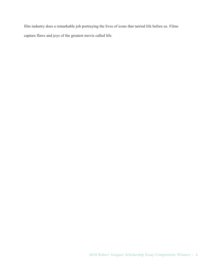film industry does a remarkable job portraying the lives of icons that tarried life before us. Films capture flaws and joys of the greatest movie called life.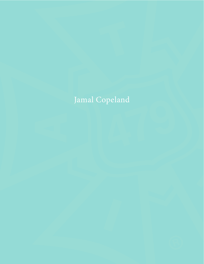# Jamal Copeland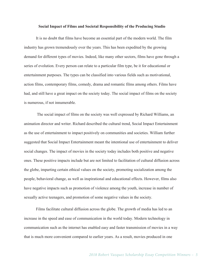#### **Social Impact of Films and Societal Responsibility of the Producing Studio**

It is no doubt that films have become an essential part of the modern world. The film industry has grown tremendously over the years. This has been expedited by the growing demand for different types of movies. Indeed, like many other sectors, films have gone through a series of evolution. Every person can relate to a particular film type, be it for educational or entertainment purposes. The types can be classified into various fields such as motivational, action films, contemporary films, comedy, drama and romantic films among others. Films have had, and still have a great impact on the society today. The social impact of films on the society is numerous, if not innumerable.

The social impact of films on the society was well expressed by Richard Williams, an animation director and writer. Richard described the cultural trend, Social Impact Entertainment as the use of entertainment to impact positively on communities and societies. William further suggested that Social Impact Entertainment meant the intentional use of entertainment to deliver social changes. The impact of movies in the society today includes both positive and negative ones. These positive impacts include but are not limited to facilitation of cultural diffusion across the globe, imparting certain ethical values on the society, promoting socialization among the people, behavioral change, as well as inspirational and educational effects. However, films also have negative impacts such as promotion of violence among the youth, increase in number of sexually active teenagers, and promotion of some negative values in the society.

Films facilitate cultural diffusion across the globe. The growth of media has led to an increase in the speed and ease of communication in the world today. Modern technology in communication such as the internet has enabled easy and faster transmission of movies in a way that is much more convenient compared to earlier years. As a result, movies produced in one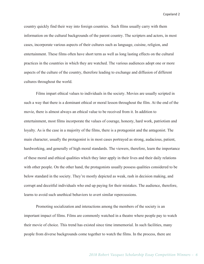country quickly find their way into foreign countries. Such films usually carry with them information on the cultural backgrounds of the parent country. The scripters and actors, in most cases, incorporate various aspects of their cultures such as language, cuisine, religion, and entertainment. These films often have short term as well as long lasting effects on the cultural practices in the countries in which they are watched. The various audiences adopt one or more aspects of the culture of the country, therefore leading to exchange and diffusion of different cultures throughout the world.

Films impart ethical values to individuals in the society. Movies are usually scripted in such a way that there is a dominant ethical or moral lesson throughout the film. At the end of the movie, there is almost always an ethical value to be received from it. In addition to entertainment, most films incorporate the values of courage, honesty, hard work, patriotism and loyalty. As is the case in a majority of the films, there is a protagonist and the antagonist. The main character, usually the protagonist is in most cases portrayed as strong, audacious, patient, hardworking, and generally of high moral standards. The viewers, therefore, learn the importance of these moral and ethical qualities which they later apply in their lives and their daily relations with other people. On the other hand, the protagonists usually possess qualities considered to be below standard in the society. They're mostly depicted as weak, rash in decision making, and corrupt and deceitful individuals who end up paying for their mistakes. The audience, therefore, learns to avoid such unethical behaviors to avert similar repercussions.

Promoting socialization and interactions among the members of the society is an important impact of films. Films are commonly watched in a theatre where people pay to watch their movie of choice. This trend has existed since time immemorial. In such facilities, many people from diverse backgrounds come together to watch the films. In the process, there are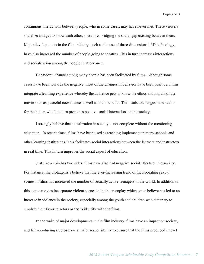continuous interactions between people, who in some cases, may have never met. These viewers socialize and get to know each other; therefore, bridging the social gap existing between them. Major developments in the film industry, such as the use of three-dimensional, 3D technology, have also increased the number of people going to theatres. This in turn increases interactions and socialization among the people in attendance.

Behavioral change among many people has been facilitated by films. Although some cases have been towards the negative, most of the changes in behavior have been positive. Films integrate a learning experience whereby the audience gets to know the ethics and morals of the movie such as peaceful coexistence as well as their benefits. This leads to changes in behavior for the better, which in turn promotes positive social interactions in the society.

I strongly believe that socialization in society is not complete without the mentioning education. In recent times, films have been used as teaching implements in many schools and other learning institutions. This facilitates social interactions between the learners and instructors in real time. This in turn improves the social aspect of education.

Just like a coin has two sides, films have also had negative social effects on the society. For instance, the protagonists believe that the ever-increasing trend of incorporating sexual scenes in films has increased the number of sexually active teenagers in the world. In addition to this, some movies incorporate violent scenes in their screenplay which some believe has led to an increase in violence in the society, especially among the youth and children who either try to emulate their favorite actors or try to identify with the films.

In the wake of major developments in the film industry, films have an impact on society, and film-producing studios have a major responsibility to ensure that the films produced impact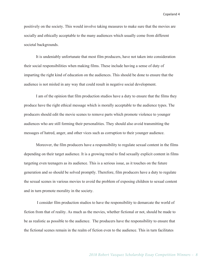positively on the society. This would involve taking measures to make sure that the movies are socially and ethically acceptable to the many audiences which usually come from different societal backgrounds.

It is undeniably unfortunate that most film producers, have not taken into consideration their social responsibilities when making films. These include having a sense of duty of imparting the right kind of education on the audiences. This should be done to ensure that the audience is not misled in any way that could result in negative social development.

I am of the opinion that film production studios have a duty to ensure that the films they produce have the right ethical message which is morally acceptable to the audience types. The producers should edit the movie scenes to remove parts which promote violence to younger audiences who are still forming their personalities. They should also avoid transmitting the messages of hatred, anger, and other vices such as corruption to their younger audience.

Moreover, the film producers have a responsibility to regulate sexual content in the films depending on their target audience. It is a growing trend to find sexually explicit content in films targeting even teenagers as its audience. This is a serious issue, as it touches on the future generation and so should be solved promptly. Therefore, film producers have a duty to regulate the sexual scenes in various movies to avoid the problem of exposing children to sexual content and in turn promote morality in the society.

I consider film production studios to have the responsibility to demarcate the world of fiction from that of reality. As much as the movies, whether fictional or not, should be made to be as realistic as possible to the audience. The producers have the responsibility to ensure that the fictional scenes remain in the realm of fiction even to the audience. This in turn facilitates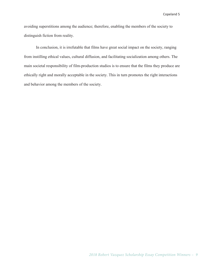avoiding superstitions among the audience; therefore, enabling the members of the society to distinguish fiction from reality.

In conclusion, it is irrefutable that films have great social impact on the society, ranging from instilling ethical values, cultural diffusion, and facilitating socialization among others. The main societal responsibility of film-production studios is to ensure that the films they produce are ethically right and morally acceptable in the society. This in turn promotes the right interactions and behavior among the members of the society.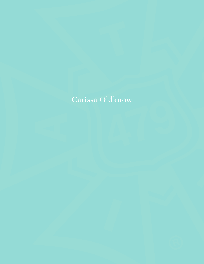### Carissa Oldknow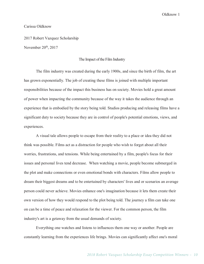#### Carissa Oldknow

2017 Robert Vazquez Scholarship November 20<sup>th</sup>, 2017

#### The Impact of the Film Industry

The film industry was created during the early 1900s, and since the birth of film, the art has grown exponentially. The job of creating these films is joined with multiple important responsibilities because of the impact this business has on society. Movies hold a great amount of power when impacting the community because of the way it takes the audience through an experience that is embodied by the story being told. Studios producing and releasing films have a significant duty to society because they are in control of people's potential emotions, views, and experiences.

A visual tale allows people to escape from their reality to a place or idea they did not think was possible. Films act as a distraction for people who wish to forget about all their worries, frustrations, and tensions. While being entertained by a film, people's focus for their issues and personal lives tend decrease. When watching a movie, people become submerged in the plot and make connections or even emotional bonds with characters. Films allow people to dream their biggest dreams and to be entertained by characters' lives and or scenarios an average person could never achieve. Movies enhance one's imagination because it lets them create their own version of how they would respond to the plot being told. The journey a film can take one on can be a time of peace and relaxation for the viewer. For the common person, the film industry's art is a getaway from the usual demands of society.

Everything one watches and listens to influences them one way or another. People are constantly learning from the experiences life brings. Movies can significantly affect one's moral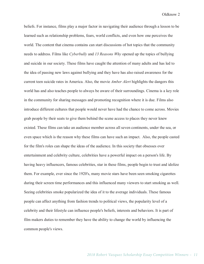beliefs. For instance, films play a major factor in navigating their audience through a lesson to be learned such as relationship problems, fears, world conflicts, and even how one perceives the world. The content that cinema contains can start discussions of hot topics that the community needs to address. Films like *Cyberbully* and *13 Reasons Why* opened up the topics of bullying and suicide in our society. These films have caught the attention of many adults and has led to the idea of passing new laws against bullying and they have has also raised awareness for the current teen suicide rates in America. Also, the movie *Amber Alert* highlights the dangers this world has and also teaches people to always be aware of their surroundings. Cinema is a key role in the community for sharing messages and promoting recognition where it is due. Films also introduce different cultures that people would never have had the chance to come across. Movies grab people by their seats to give them behind the scene access to places they never knew existed. These films can take an audience member across all seven continents, under the sea, or even space which is the reason why these films can have such an impact. Also, the people casted for the film's roles can shape the ideas of the audience. In this society that obsesses over entertainment and celebrity culture, celebrities have a powerful impact on a person's life. By having heavy influencers, famous celebrities, star in these films, people begin to trust and idolize them. For example, ever since the 1920's, many movie stars have been seen smoking cigarettes during their screen time performances and this influenced many viewers to start smoking as well. Seeing celebrities smoke popularized the idea of it to the average individuals. These famous people can affect anything from fashion trends to political views, the popularity level of a celebrity and their lifestyle can influence people's beliefs, interests and behaviors. It is part of film makers duties to remember they have the ability to change the world by influencing the common people's views.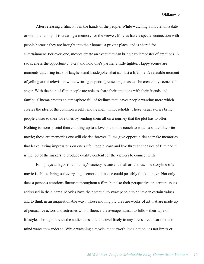After releasing a film, it is in the hands of the people. While watching a movie, on a date or with the family, it is creating a memory for the viewer. Movies have a special connection with people because they are brought into their homes, a private place, and is shared for entertainment. For everyone, movies create an event that can bring a rollercoaster of emotions. A sad scene is the opportunity to cry and hold one's partner a little tighter. Happy scenes are moments that bring tears of laughers and inside jokes that can last a lifetime. A relatable moment of yelling at the television while wearing popcorn greased pajamas can be created by scenes of anger. With the help of film, people are able to share their emotions with their friends and family. Cinema creates an atmosphere full of feelings that leaves people wanting more which creates the idea of the common weekly movie night in households. These visual stories bring people closer to their love ones by sending them all on a journey that the plot has to offer. Nothing is more special than cuddling up to a love one on the couch to watch a shared favorite movie; those are memories one will cherish forever. Films give opportunities to make memories that leave lasting impressions on one's life. People learn and live through the tales of film and it is the job of the makers to produce quality content for the viewers to connect with.

Film plays a major role in today's society because it is all around us. The storyline of a movie is able to bring out every single emotion that one could possibly think to have. Not only does a person's emotions fluctuate throughout a film, but also their perspective on certain issues addressed in the cinema. Movies have the potential to sway people to believe in certain values and to think in an unquestionable way. These moving pictures are works of art that are made up of persuasive actors and actresses who influence the average human to follow their type of lifestyle. Through movies the audience is able to travel freely to any stress-free location their mind wants to wander to. While watching a movie, the viewer's imagination has not limits or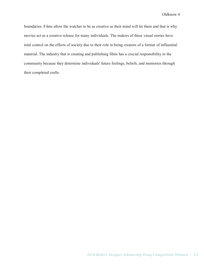boundaries. Films allow the watcher to be as creative as their mind will let them and that is why movies act as a creative release for many individuals. The makers of these visual stories have total control on the effects of society due to their role in being creators of a format of influential material. The industry that is creating and publishing films has a crucial responsibility to the community because they determine individuals' future feelings, beliefs, and memories through their completed crafts.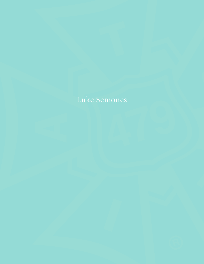### Luke Semones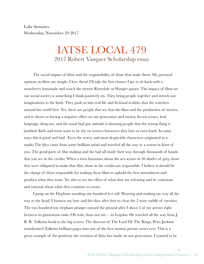Luke Semones Wednesday, November 29 2017

### IATSE LOCAL 479 2017 Robert Vasquez Scholarship essay

The social impact of films and the responsibility of those that make them. My personal opinion on films are simple. I love them! I'll take the first chance I get to sit back with a strawberry lemonade and watch the newest Riverdale or Hunger games. The impact of films on our social society is something I think positively on. They bring people together and stretch our imaginations to the limit. They push us into real life and fictional realities that the watchers around the world love. Yet, there are people that see that the films and the production of movies, and tv shows as having a negative effect on our generation and society. Its sex scenes, foul language, drug use, and the usual bad guy attitude is showing people that the wrong thing is justified. Kids and teens want to be the on screen characters they love or even loath. In some ways this is good and bad . Even the worst, and most despicable characters originated in a studio.The idea came from some brilliant mind and traveled all the way to a screen in front of you. The good parts of film making and the bad all made their way through thousands of hands that you see in the credits. When a teen fantasizes about the sex scenes in 50 shades of grey, those that were obligated to make that film, those in the credits are responsible. I believe it should be the charge of those responsible for making these films to uphold the first amendment and produce what they want. Yet also to see the effect of what they are releasing and be conscious and rational about what they continue to create.

I jump on the Elephant standing one hundred feet tall. Weaving and making my way all the way to the head. I harness my bow and fire shot after shot to clear the 2 story saddle of enemies. The two hundred ton elephant plunges toward the ground after I shoot 5 of my arrows right between its ginormous tusks. Oh wait, thats not me… its Legolas. He traveled all the way from J. R. R. Tolkeins book to the big screen. The director of The Lord Of The Rings, Peter Jackson transformed Tolkeins brilliant pages into one of the best motion picture series ever. This is a great example of the positivity the creation of films has made on our generation. I wanted to be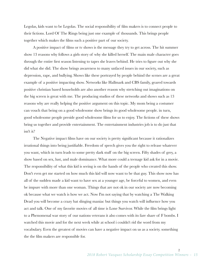Legolas, kids want to be Legolas. The social responsibility of film makers is to connect people to their fictions. Lord Of The Rings being just one example of thousands. This brings people together which makes the films such a positive part of our society.

A positive impact of films or tv shows is the message they try to get across. The hit summer show 13 reasons why follows a girls story of why she killed herself. The main male character goes through the entire first season listening to tapes she leaves behind. He tries to figure out why she did what she did. The show brings awareness to many unfaced issues in our society, such as depression, rape, and bullying. Shows like these portrayed by people behind the scenes are a great example of a positive impacting show. Networks like Hallmark and CBS family, geared towards positive christian based households are also another reason why stretching out imaginations on the big screen is great with me. The producing studios of these networks and shows such as 13 reasons why are really helping the positive argument on this topic. My mom being a costumer can vouch that being on a good wholesome show brings its good wholesome people. in turn, good wholesome people preside good wholesome films for us to enjoy. The fictions of these shows bring us together and provide entertainment. The entertainment industries job is to do just that isn't it?

The Negative impact films have on our society is pretty significant because it rationalizes irrational things into being justifiable. Freedom of speech gives you the right to release whatever you want, which in turn leads to some pretty dark stuff on the big screen. Fifty shades of grey, a show based on sex, lust, and male dominance. What more could a teenage kid ask for in a movie. The responsibility of what this kid is seeing is on the hands of the people who created this show. Don't even get me started on how much this kid will now want to be that guy. This show now has all of the sudden made a kid want to have sex at a younger age, be forceful to women, and even be impure with more than one woman. Things that are not ok in our society are now becoming ok because what we watch is how we act. Now I'm not saying that by watching a The Walking Dead you will become a crazy bat slinging maniac but things you watch will influence how you act and talk. One of my favorite movies of all time is Lone Survivor. While the film brings light to a Phenomenal war story of our nations veterans it also comes with its fare share of F bombs. I watched this movie and for the next week while at school i couldn't rid the word from my vocabulary. Even the greatest of movies can have a negative impact on us as a society. something the the film makers are responsible for.